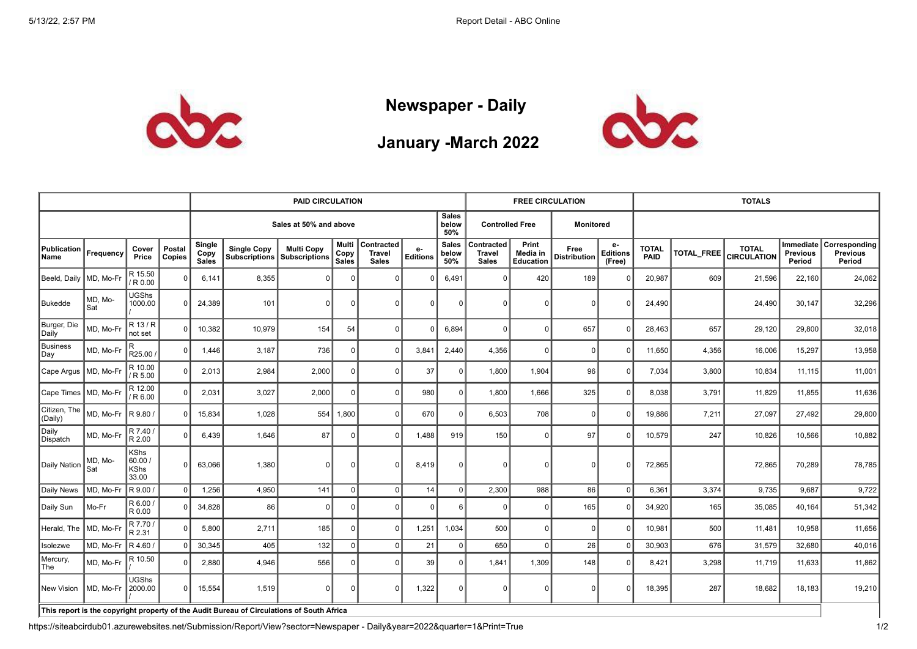

## **Newspaper - Daily**



## **January -March 2022**

|                         |                |                                         |                  | <b>PAID CIRCULATION</b>                         |                                            |                                                                                           |                        |                                             |                         |                              |                                      | <b>FREE CIRCULATION</b>        |                             |                                 | <b>TOTALS</b>        |                   |                                    |                                        |                                            |  |
|-------------------------|----------------|-----------------------------------------|------------------|-------------------------------------------------|--------------------------------------------|-------------------------------------------------------------------------------------------|------------------------|---------------------------------------------|-------------------------|------------------------------|--------------------------------------|--------------------------------|-----------------------------|---------------------------------|----------------------|-------------------|------------------------------------|----------------------------------------|--------------------------------------------|--|
|                         |                |                                         |                  | <b>Sales</b><br>Sales at 50% and above<br>below |                                            |                                                                                           |                        |                                             |                         |                              | <b>Controlled Free</b>               |                                | <b>Monitored</b>            |                                 |                      |                   |                                    |                                        |                                            |  |
| Publication<br>Name     | Frequency      | Cover<br>Price                          | Postal<br>Copies | Single<br>Copy<br>Sales                         | <b>Single Copy</b><br><b>Subscriptions</b> | <b>Multi Copy</b><br><b>Subscriptions</b>                                                 | Multi<br>Copy<br>Sales | Contracted<br><b>Travel</b><br><b>Sales</b> | $e-$<br><b>Editions</b> | <b>Sales</b><br>below<br>50% | Contracted<br>Travel<br><b>Sales</b> | Print<br>Media in<br>Education | Free<br><b>Distribution</b> | e-<br><b>Editions</b><br>(Free) | <b>TOTAL</b><br>PAID | <b>TOTAL_FREE</b> | <b>TOTAL</b><br><b>CIRCULATION</b> | Immediate<br><b>Previous</b><br>Period | Corresponding<br><b>Previous</b><br>Period |  |
| Beeld, Daily            | MD, Mo-F       | R 15.50<br>/ R 0.00                     | $\Omega$         | 6,141                                           | 8,355                                      | $\Omega$                                                                                  |                        | C                                           |                         | 6,491                        |                                      | 420                            | 189                         | $\Omega$                        | 20,987               | 609               | 21,596                             | 22,160                                 | 24,062                                     |  |
| Bukedde                 | MD, Mo-<br>Sat | <b>UGShs</b><br>1000.00                 | $\Omega$         | 24,389                                          | 101                                        | $\Omega$                                                                                  |                        | O                                           | <sup>0</sup>            | $\Omega$                     | $\Omega$                             | <sup>0</sup>                   | $\Omega$                    | $\Omega$                        | 24,490               |                   | 24,490                             | 30,147                                 | 32,296                                     |  |
| Burger, Die<br>Daily    | MD, Mo-Fr      | R 13 / R<br>not set                     |                  | 10,382                                          | 10,979                                     | 154                                                                                       | 54                     | n                                           |                         | 6,894                        | $\Omega$                             | <sup>0</sup>                   | 657                         | $\Omega$                        | 28,463               | 657               | 29,120                             | 29,800                                 | 32,018                                     |  |
| Business<br> Day        | MD, Mo-Fr      | IR.<br>R25.00                           | 0 <sup>1</sup>   | 1,446                                           | 3,187                                      | 736                                                                                       |                        | $\Omega$                                    | 3,841                   | 2,440                        | 4,356                                | $\overline{0}$                 | $\mathbf 0$                 | 0                               | 11,650               | 4,356             | 16,006                             | 15,297                                 | 13,958                                     |  |
| Cape Argus  MD, Mo-Fr   |                | R 10.00<br>/ R 5.00                     | <sup>0</sup>     | 2,013                                           | 2,984                                      | 2,000                                                                                     |                        | $\Omega$                                    | 37                      | $\overline{0}$               | 1,800                                | 1,904                          | 96                          | $\Omega$                        | 7,034                | 3,800             | 10,834                             | 11,115                                 | 11,001                                     |  |
| │Cape Times │MD, Mo-Fı  |                | R 12.00<br>/ R 6.00                     | 0                | 2,031                                           | 3,027                                      | 2,000                                                                                     |                        | ŋ                                           | 980                     | $\overline{0}$               | 1,800                                | 1,666                          | 325                         | $\Omega$                        | 8.038                | 3,791             | 11,829                             | 11,855                                 | 11,636                                     |  |
| Citizen, The<br>(Daily) | MD, Mo-Fr      | $\overline{R}$ 9.80 /                   | <sup>0</sup>     | 15,834                                          | 1,028                                      | 554                                                                                       | 1,800                  | $\Omega$                                    | 670                     | 0                            | 6,503                                | 708                            | $\mathbf 0$                 | $\Omega$                        | 19,886               | 7,211             | 27,097                             | 27,492                                 | 29,800                                     |  |
| Daily<br>Dispatch       | MD, Mo-Fr      | R 7.40 /<br>R 2.00                      | 0 <sup>1</sup>   | 6,439                                           | 1,646                                      | 87                                                                                        |                        | $\Omega$                                    | 1,488                   | 919                          | 150                                  | $\Omega$                       | 97                          | $\Omega$                        | 10,579               | 247               | 10,826                             | 10,566                                 | 10,882                                     |  |
| Daily Nation            | MD, Mo-<br>Sat | KShs<br> 60.00 <br><b>KShs</b><br>33.00 | $\Omega$         | 63,066                                          | 1,380                                      | $\Omega$                                                                                  |                        | $\Omega$                                    | 8,419                   | $\Omega$                     | $\Omega$                             | $\Omega$                       | $\Omega$                    | $\Omega$                        | 72,865               |                   | 72,865                             | 70,289                                 | 78,785                                     |  |
| Daily News              | MD, Mo-Fr      | R 9.00                                  | $\Omega$         | 1,256                                           | 4,950                                      | 141                                                                                       | $\Omega$               | $\Omega$                                    | 14                      | 0                            | 2,300                                | 988                            | 86                          | 0                               | 6,361                | 3,374             | 9,735                              | 9,687                                  | 9,722                                      |  |
| Daily Sun               | Mo-Fr          | $ R 6.00\rangle$<br>R 0.00              |                  | 34,828                                          | 86                                         | $\Omega$                                                                                  |                        | O                                           |                         | 6                            | $\Omega$                             | 0                              | 165                         | $\Omega$                        | 34,920               | 165               | 35,085                             | 40,164                                 | 51,342                                     |  |
| Herald, The             | MD, Mo-F       | R 7.70 /<br>R 2.31                      | $\Omega$         | 5,800                                           | 2,711                                      | 185                                                                                       |                        | $\Omega$                                    | 1,251                   | 1,034                        | 500                                  | $\overline{0}$                 | $\Omega$                    | $\Omega$                        | 10,981               | 500               | 11,481                             | 10,958                                 | 11,656                                     |  |
| Isolezwe                | MD, Mo-Fr      | $R$ 4.60 /                              | $\Omega$         | 30,345                                          | 405                                        | 132                                                                                       | $\overline{0}$         | $\Omega$                                    | 21                      | $\overline{0}$               | 650                                  | 0                              | 26                          | 0                               | 30,903               | 676               | 31,579                             | 32,680                                 | 40,016                                     |  |
| Mercury,<br>  The       | MD. Mo-Fr      | R 10.50                                 |                  | 2,880                                           | 4,946                                      | 556                                                                                       |                        | ŋ                                           | 39                      | $\Omega$                     | 1,841                                | 1,309                          | 148                         | $\Omega$                        | 8,421                | 3,298             | 11,719                             | 11,633                                 | 11,862                                     |  |
| New Vision              | MD, Mo-Fi      | <b>UGShs</b><br>2000.00                 | $\Omega$         | 15,554                                          | 1,519                                      | $\Omega$                                                                                  | $\Omega$               | $\Omega$                                    | 1,322                   | $\Omega$                     |                                      | $\Omega$                       | $\Omega$                    | $\Omega$                        | 18,395               | 287               | 18,682                             | 18,183                                 | 19,210                                     |  |
|                         |                |                                         |                  |                                                 |                                            | This report is the copyright property of the Audit Bureau of Circulations of South Africa |                        |                                             |                         |                              |                                      |                                |                             |                                 |                      |                   |                                    |                                        |                                            |  |

https://siteabcirdub01.azurewebsites.net/Submission/Report/View?sector=Newspaper - Daily&year=2022&quarter=1&Print=True 1/2